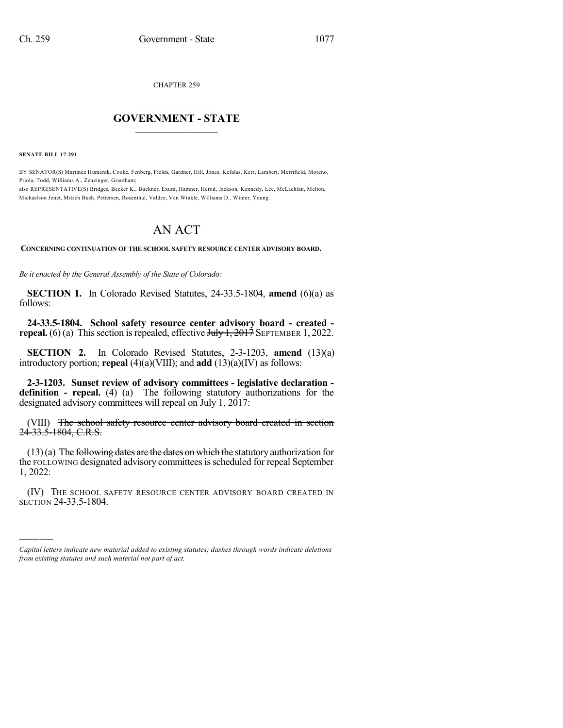CHAPTER 259

## $\mathcal{L}_\text{max}$  . The set of the set of the set of the set of the set of the set of the set of the set of the set of the set of the set of the set of the set of the set of the set of the set of the set of the set of the set **GOVERNMENT - STATE**  $\_$   $\_$

**SENATE BILL 17-291**

)))))

BY SENATOR(S) Martinez Humenik, Cooke, Fenberg, Fields, Gardner, Hill, Jones, Kefalas, Kerr, Lambert, Merrifield, Moreno, Priola, Todd, Williams A., Zenzinger, Grantham;

also REPRESENTATIVE(S) Bridges, Becker K., Buckner, Exum, Hamner, Herod, Jackson, Kennedy, Lee, McLachlan, Melton, Michaelson Jenet, Mitsch Bush, Pettersen, Rosenthal, Valdez, Van Winkle, Williams D., Winter, Young.

## AN ACT

**CONCERNING CONTINUATION OF THE SCHOOL SAFETY RESOURCE CENTER ADVISORY BOARD.**

*Be it enacted by the General Assembly of the State of Colorado:*

**SECTION 1.** In Colorado Revised Statutes, 24-33.5-1804, **amend** (6)(a) as follows:

**24-33.5-1804. School safety resource center advisory board - created repeal.** (6) (a) This section is repealed, effective  $J_{\text{t}}/J_{\text{t}}$ ,  $2017$  SEPTEMBER 1, 2022.

**SECTION 2.** In Colorado Revised Statutes, 2-3-1203, **amend** (13)(a) introductory portion; **repeal** (4)(a)(VIII); and **add** (13)(a)(IV) as follows:

**2-3-1203. Sunset review of advisory committees - legislative declaration definition - repeal.** (4) (a) The following statutory authorizations for the designated advisory committees will repeal on July 1, 2017:

(VIII) The school safety resource center advisory board created in section 24-33.5-1804, C.R.S.

 $(13)(a)$  The following dates are the dates on which the statutory authorization for the FOLLOWING designated advisory committees is scheduled for repeal September 1, 2022:

(IV) THE SCHOOL SAFETY RESOURCE CENTER ADVISORY BOARD CREATED IN SECTION 24-33.5-1804.

*Capital letters indicate new material added to existing statutes; dashes through words indicate deletions from existing statutes and such material not part of act.*